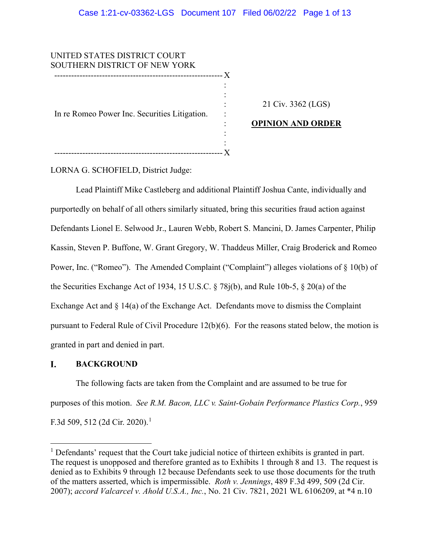UNITED STATES DISTRICT COURT SOUTHERN DISTRICT OF NEW YORK ------------------------------------------------------------ X In re Romeo Power Inc. Securities Litigation. ------------------------------------------------------------ X : : : : : : : 21 Civ. 3362 (LGS) **OPINION AND ORDER**

LORNA G. SCHOFIELD, District Judge:

Lead Plaintiff Mike Castleberg and additional Plaintiff Joshua Cante, individually and purportedly on behalf of all others similarly situated, bring this securities fraud action against Defendants Lionel E. Selwood Jr., Lauren Webb, Robert S. Mancini, D. James Carpenter, Philip Kassin, Steven P. Buffone, W. Grant Gregory, W. Thaddeus Miller, Craig Broderick and Romeo Power, Inc. ("Romeo"). The Amended Complaint ("Complaint") alleges violations of § 10(b) of the Securities Exchange Act of 1934, 15 U.S.C. § 78j(b), and Rule 10b-5, § 20(a) of the Exchange Act and  $\S$  14(a) of the Exchange Act. Defendants move to dismiss the Complaint pursuant to Federal Rule of Civil Procedure 12(b)(6). For the reasons stated below, the motion is granted in part and denied in part.

#### I. **BACKGROUND**

The following facts are taken from the Complaint and are assumed to be true for purposes of this motion. *See R.M. Bacon, LLC v. Saint-Gobain Performance Plastics Corp.*, 959 F.3d 509, 512 (2d Cir. 2020).<sup>1</sup>

 $<sup>1</sup>$  Defendants' request that the Court take judicial notice of thirteen exhibits is granted in part.</sup> The request is unopposed and therefore granted as to Exhibits 1 through 8 and 13. The request is denied as to Exhibits 9 through 12 because Defendants seek to use those documents for the truth of the matters asserted, which is impermissible. *Roth v. Jennings*, 489 F.3d 499, 509 (2d Cir. 2007); *accord Valcarcel v. Ahold U.S.A., Inc.*, No. 21 Civ. 7821, 2021 WL 6106209, at \*4 n.10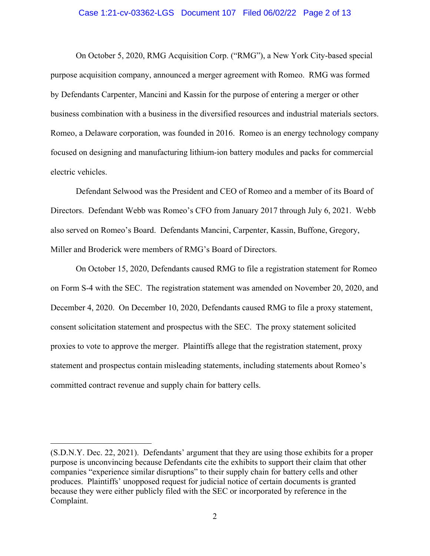### Case 1:21-cv-03362-LGS Document 107 Filed 06/02/22 Page 2 of 13

On October 5, 2020, RMG Acquisition Corp. ("RMG"), a New York City-based special purpose acquisition company, announced a merger agreement with Romeo. RMG was formed by Defendants Carpenter, Mancini and Kassin for the purpose of entering a merger or other business combination with a business in the diversified resources and industrial materials sectors. Romeo, a Delaware corporation, was founded in 2016. Romeo is an energy technology company focused on designing and manufacturing lithium-ion battery modules and packs for commercial electric vehicles.

Defendant Selwood was the President and CEO of Romeo and a member of its Board of Directors. Defendant Webb was Romeo's CFO from January 2017 through July 6, 2021. Webb also served on Romeo's Board. Defendants Mancini, Carpenter, Kassin, Buffone, Gregory, Miller and Broderick were members of RMG's Board of Directors.

On October 15, 2020, Defendants caused RMG to file a registration statement for Romeo on Form S-4 with the SEC. The registration statement was amended on November 20, 2020, and December 4, 2020. On December 10, 2020, Defendants caused RMG to file a proxy statement, consent solicitation statement and prospectus with the SEC. The proxy statement solicited proxies to vote to approve the merger. Plaintiffs allege that the registration statement, proxy statement and prospectus contain misleading statements, including statements about Romeo's committed contract revenue and supply chain for battery cells.

<sup>(</sup>S.D.N.Y. Dec. 22, 2021). Defendants' argument that they are using those exhibits for a proper purpose is unconvincing because Defendants cite the exhibits to support their claim that other companies "experience similar disruptions" to their supply chain for battery cells and other produces. Plaintiffs' unopposed request for judicial notice of certain documents is granted because they were either publicly filed with the SEC or incorporated by reference in the Complaint.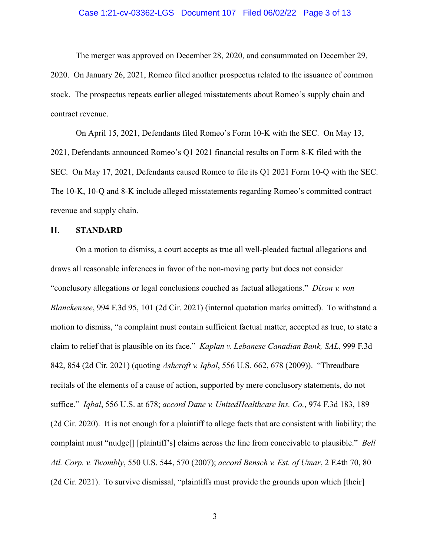### Case 1:21-cv-03362-LGS Document 107 Filed 06/02/22 Page 3 of 13

The merger was approved on December 28, 2020, and consummated on December 29, 2020. On January 26, 2021, Romeo filed another prospectus related to the issuance of common stock. The prospectus repeats earlier alleged misstatements about Romeo's supply chain and contract revenue.

On April 15, 2021, Defendants filed Romeo's Form 10-K with the SEC. On May 13, 2021, Defendants announced Romeo's Q1 2021 financial results on Form 8-K filed with the SEC. On May 17, 2021, Defendants caused Romeo to file its Q1 2021 Form 10-Q with the SEC. The 10-K, 10-Q and 8-K include alleged misstatements regarding Romeo's committed contract revenue and supply chain.

#### П. **STANDARD**

On a motion to dismiss, a court accepts as true all well-pleaded factual allegations and draws all reasonable inferences in favor of the non-moving party but does not consider "conclusory allegations or legal conclusions couched as factual allegations." *Dixon v. von Blanckensee*, 994 F.3d 95, 101 (2d Cir. 2021) (internal quotation marks omitted). To withstand a motion to dismiss, "a complaint must contain sufficient factual matter, accepted as true, to state a claim to relief that is plausible on its face." *Kaplan v. Lebanese Canadian Bank, SAL*, 999 F.3d 842, 854 (2d Cir. 2021) (quoting *Ashcroft v. Iqbal*, 556 U.S. 662, 678 (2009)). "Threadbare recitals of the elements of a cause of action, supported by mere conclusory statements, do not suffice." *Iqbal*, 556 U.S. at 678; *accord Dane v. UnitedHealthcare Ins. Co.*, 974 F.3d 183, 189 (2d Cir. 2020). It is not enough for a plaintiff to allege facts that are consistent with liability; the complaint must "nudge[] [plaintiff's] claims across the line from conceivable to plausible." *Bell Atl. Corp. v. Twombly*, 550 U.S. 544, 570 (2007); *accord Bensch v. Est. of Umar*, 2 F.4th 70, 80 (2d Cir. 2021). To survive dismissal, "plaintiffs must provide the grounds upon which [their]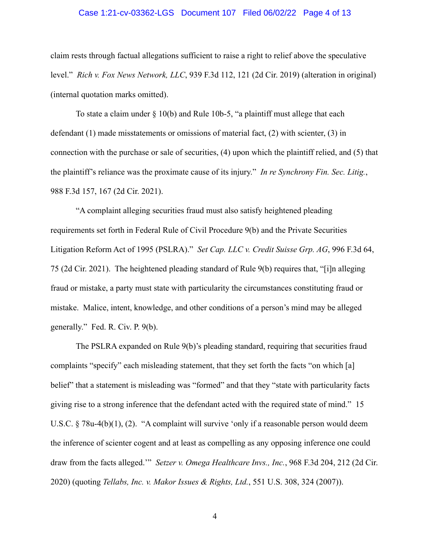#### Case 1:21-cv-03362-LGS Document 107 Filed 06/02/22 Page 4 of 13

claim rests through factual allegations sufficient to raise a right to relief above the speculative level." *Rich v. Fox News Network, LLC*, 939 F.3d 112, 121 (2d Cir. 2019) (alteration in original) (internal quotation marks omitted).

To state a claim under  $\S$  10(b) and Rule 10b-5, "a plaintiff must allege that each defendant (1) made misstatements or omissions of material fact, (2) with scienter, (3) in connection with the purchase or sale of securities, (4) upon which the plaintiff relied, and (5) that the plaintiff's reliance was the proximate cause of its injury." *In re Synchrony Fin. Sec. Litig.*, 988 F.3d 157, 167 (2d Cir. 2021).

"A complaint alleging securities fraud must also satisfy heightened pleading requirements set forth in Federal Rule of Civil Procedure 9(b) and the Private Securities Litigation Reform Act of 1995 (PSLRA)." *Set Cap. LLC v. Credit Suisse Grp. AG*, 996 F.3d 64, 75 (2d Cir. 2021). The heightened pleading standard of Rule 9(b) requires that, "[i]n alleging fraud or mistake, a party must state with particularity the circumstances constituting fraud or mistake. Malice, intent, knowledge, and other conditions of a person's mind may be alleged generally." Fed. R. Civ. P. 9(b).

The PSLRA expanded on Rule 9(b)'s pleading standard, requiring that securities fraud complaints "specify" each misleading statement, that they set forth the facts "on which [a] belief" that a statement is misleading was "formed" and that they "state with particularity facts giving rise to a strong inference that the defendant acted with the required state of mind." 15 U.S.C. § 78u-4(b)(1), (2). "A complaint will survive 'only if a reasonable person would deem the inference of scienter cogent and at least as compelling as any opposing inference one could draw from the facts alleged.'" *Setzer v. Omega Healthcare Invs., Inc.*, 968 F.3d 204, 212 (2d Cir. 2020) (quoting *Tellabs, Inc. v. Makor Issues & Rights, Ltd.*, 551 U.S. 308, 324 (2007)).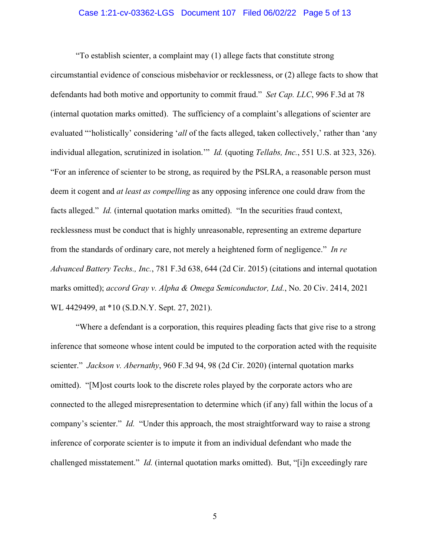### Case 1:21-cv-03362-LGS Document 107 Filed 06/02/22 Page 5 of 13

"To establish scienter, a complaint may (1) allege facts that constitute strong circumstantial evidence of conscious misbehavior or recklessness, or (2) allege facts to show that defendants had both motive and opportunity to commit fraud." *Set Cap. LLC*, 996 F.3d at 78 (internal quotation marks omitted). The sufficiency of a complaint's allegations of scienter are evaluated "'holistically' considering '*all* of the facts alleged, taken collectively,' rather than 'any individual allegation, scrutinized in isolation.'" *Id.* (quoting *Tellabs, Inc.*, 551 U.S. at 323, 326). "For an inference of scienter to be strong, as required by the PSLRA, a reasonable person must deem it cogent and *at least as compelling* as any opposing inference one could draw from the facts alleged." *Id.* (internal quotation marks omitted). "In the securities fraud context, recklessness must be conduct that is highly unreasonable, representing an extreme departure from the standards of ordinary care, not merely a heightened form of negligence." *In re Advanced Battery Techs., Inc.*, 781 F.3d 638, 644 (2d Cir. 2015) (citations and internal quotation marks omitted); *accord Gray v. Alpha & Omega Semiconductor, Ltd.*, No. 20 Civ. 2414, 2021 WL 4429499, at \*10 (S.D.N.Y. Sept. 27, 2021).

"Where a defendant is a corporation, this requires pleading facts that give rise to a strong inference that someone whose intent could be imputed to the corporation acted with the requisite scienter." *Jackson v. Abernathy*, 960 F.3d 94, 98 (2d Cir. 2020) (internal quotation marks omitted). "[M]ost courts look to the discrete roles played by the corporate actors who are connected to the alleged misrepresentation to determine which (if any) fall within the locus of a company's scienter." *Id.* "Under this approach, the most straightforward way to raise a strong inference of corporate scienter is to impute it from an individual defendant who made the challenged misstatement." *Id.* (internal quotation marks omitted). But, "[i]n exceedingly rare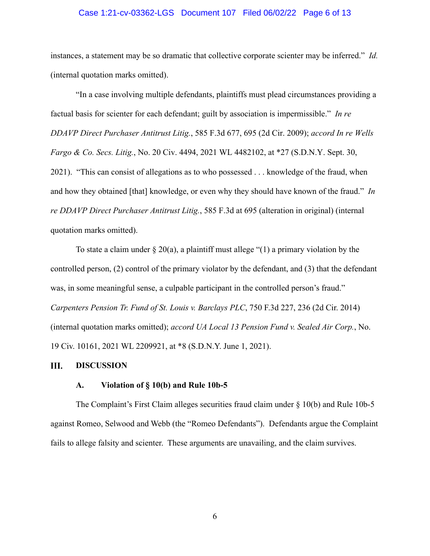### Case 1:21-cv-03362-LGS Document 107 Filed 06/02/22 Page 6 of 13

instances, a statement may be so dramatic that collective corporate scienter may be inferred." *Id.*  (internal quotation marks omitted).

"In a case involving multiple defendants, plaintiffs must plead circumstances providing a factual basis for scienter for each defendant; guilt by association is impermissible." *In re DDAVP Direct Purchaser Antitrust Litig.*, 585 F.3d 677, 695 (2d Cir. 2009); *accord In re Wells Fargo & Co. Secs. Litig.*, No. 20 Civ. 4494, 2021 WL 4482102, at \*27 (S.D.N.Y. Sept. 30, 2021). "This can consist of allegations as to who possessed . . . knowledge of the fraud, when and how they obtained [that] knowledge, or even why they should have known of the fraud." *In re DDAVP Direct Purchaser Antitrust Litig.*, 585 F.3d at 695 (alteration in original) (internal quotation marks omitted).

To state a claim under  $\S 20(a)$ , a plaintiff must allege "(1) a primary violation by the controlled person, (2) control of the primary violator by the defendant, and (3) that the defendant was, in some meaningful sense, a culpable participant in the controlled person's fraud." *Carpenters Pension Tr. Fund of St. Louis v. Barclays PLC*, 750 F.3d 227, 236 (2d Cir. 2014) (internal quotation marks omitted); *accord UA Local 13 Pension Fund v. Sealed Air Corp.*, No. 19 Civ. 10161, 2021 WL 2209921, at \*8 (S.D.N.Y. June 1, 2021).

#### Ш. **DISCUSSION**

# **A. Violation of § 10(b) and Rule 10b-5**

The Complaint's First Claim alleges securities fraud claim under § 10(b) and Rule 10b-5 against Romeo, Selwood and Webb (the "Romeo Defendants"). Defendants argue the Complaint fails to allege falsity and scienter. These arguments are unavailing, and the claim survives.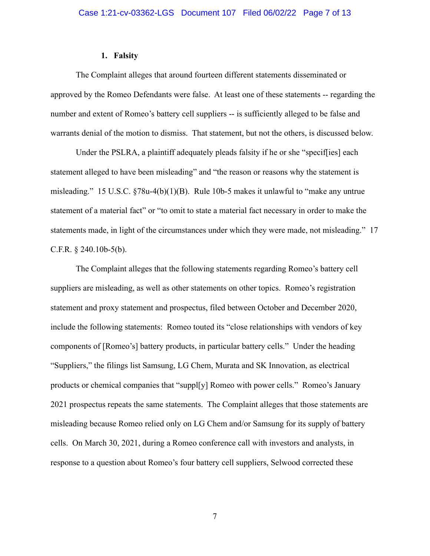#### **1. Falsity**

The Complaint alleges that around fourteen different statements disseminated or approved by the Romeo Defendants were false. At least one of these statements -- regarding the number and extent of Romeo's battery cell suppliers -- is sufficiently alleged to be false and warrants denial of the motion to dismiss. That statement, but not the others, is discussed below.

Under the PSLRA, a plaintiff adequately pleads falsity if he or she "specif[ies] each statement alleged to have been misleading" and "the reason or reasons why the statement is misleading." 15 U.S.C. §78u-4(b)(1)(B). Rule 10b-5 makes it unlawful to "make any untrue statement of a material fact" or "to omit to state a material fact necessary in order to make the statements made, in light of the circumstances under which they were made, not misleading." 17 C.F.R. § 240.10b-5(b).

The Complaint alleges that the following statements regarding Romeo's battery cell suppliers are misleading, as well as other statements on other topics. Romeo's registration statement and proxy statement and prospectus, filed between October and December 2020, include the following statements: Romeo touted its "close relationships with vendors of key components of [Romeo's] battery products, in particular battery cells." Under the heading "Suppliers," the filings list Samsung, LG Chem, Murata and SK Innovation, as electrical products or chemical companies that "suppl[y] Romeo with power cells." Romeo's January 2021 prospectus repeats the same statements. The Complaint alleges that those statements are misleading because Romeo relied only on LG Chem and/or Samsung for its supply of battery cells. On March 30, 2021, during a Romeo conference call with investors and analysts, in response to a question about Romeo's four battery cell suppliers, Selwood corrected these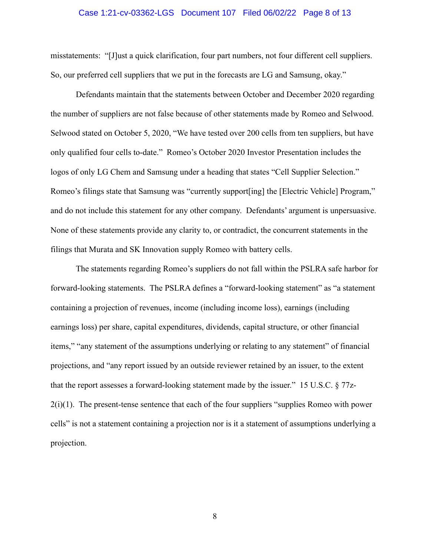#### Case 1:21-cv-03362-LGS Document 107 Filed 06/02/22 Page 8 of 13

misstatements: "[J]ust a quick clarification, four part numbers, not four different cell suppliers. So, our preferred cell suppliers that we put in the forecasts are LG and Samsung, okay."

Defendants maintain that the statements between October and December 2020 regarding the number of suppliers are not false because of other statements made by Romeo and Selwood. Selwood stated on October 5, 2020, "We have tested over 200 cells from ten suppliers, but have only qualified four cells to-date." Romeo's October 2020 Investor Presentation includes the logos of only LG Chem and Samsung under a heading that states "Cell Supplier Selection." Romeo's filings state that Samsung was "currently support[ing] the [Electric Vehicle] Program," and do not include this statement for any other company. Defendants' argument is unpersuasive. None of these statements provide any clarity to, or contradict, the concurrent statements in the filings that Murata and SK Innovation supply Romeo with battery cells.

The statements regarding Romeo's suppliers do not fall within the PSLRA safe harbor for forward-looking statements. The PSLRA defines a "forward-looking statement" as "a statement containing a projection of revenues, income (including income loss), earnings (including earnings loss) per share, capital expenditures, dividends, capital structure, or other financial items," "any statement of the assumptions underlying or relating to any statement" of financial projections, and "any report issued by an outside reviewer retained by an issuer, to the extent that the report assesses a forward-looking statement made by the issuer." 15 U.S.C. § 77z- $2(i)(1)$ . The present-tense sentence that each of the four suppliers "supplies Romeo with power cells" is not a statement containing a projection nor is it a statement of assumptions underlying a projection.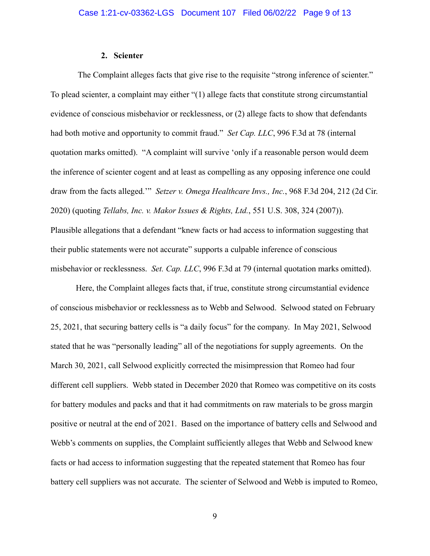### **2. Scienter**

The Complaint alleges facts that give rise to the requisite "strong inference of scienter." To plead scienter, a complaint may either "(1) allege facts that constitute strong circumstantial evidence of conscious misbehavior or recklessness, or (2) allege facts to show that defendants had both motive and opportunity to commit fraud." *Set Cap. LLC*, 996 F.3d at 78 (internal quotation marks omitted). "A complaint will survive 'only if a reasonable person would deem the inference of scienter cogent and at least as compelling as any opposing inference one could draw from the facts alleged.'" *Setzer v. Omega Healthcare Invs., Inc.*, 968 F.3d 204, 212 (2d Cir. 2020) (quoting *Tellabs, Inc. v. Makor Issues & Rights, Ltd.*, 551 U.S. 308, 324 (2007)). Plausible allegations that a defendant "knew facts or had access to information suggesting that their public statements were not accurate" supports a culpable inference of conscious misbehavior or recklessness. *Set. Cap. LLC*, 996 F.3d at 79 (internal quotation marks omitted).

Here, the Complaint alleges facts that, if true, constitute strong circumstantial evidence of conscious misbehavior or recklessness as to Webb and Selwood. Selwood stated on February 25, 2021, that securing battery cells is "a daily focus" for the company. In May 2021, Selwood stated that he was "personally leading" all of the negotiations for supply agreements. On the March 30, 2021, call Selwood explicitly corrected the misimpression that Romeo had four different cell suppliers. Webb stated in December 2020 that Romeo was competitive on its costs for battery modules and packs and that it had commitments on raw materials to be gross margin positive or neutral at the end of 2021. Based on the importance of battery cells and Selwood and Webb's comments on supplies, the Complaint sufficiently alleges that Webb and Selwood knew facts or had access to information suggesting that the repeated statement that Romeo has four battery cell suppliers was not accurate. The scienter of Selwood and Webb is imputed to Romeo,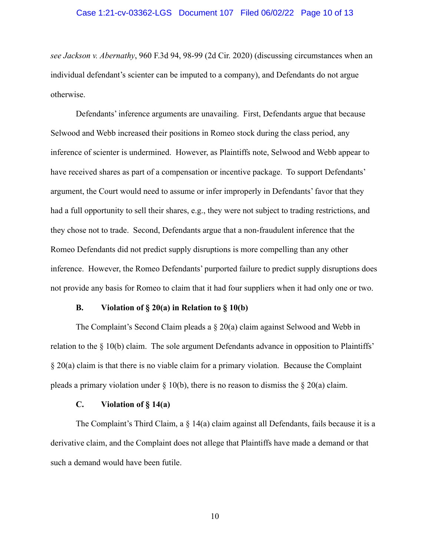#### Case 1:21-cv-03362-LGS Document 107 Filed 06/02/22 Page 10 of 13

*see Jackson v. Abernathy*, 960 F.3d 94, 98-99 (2d Cir. 2020) (discussing circumstances when an individual defendant's scienter can be imputed to a company), and Defendants do not argue otherwise.

Defendants' inference arguments are unavailing. First, Defendants argue that because Selwood and Webb increased their positions in Romeo stock during the class period, any inference of scienter is undermined. However, as Plaintiffs note, Selwood and Webb appear to have received shares as part of a compensation or incentive package. To support Defendants' argument, the Court would need to assume or infer improperly in Defendants' favor that they had a full opportunity to sell their shares, e.g., they were not subject to trading restrictions, and they chose not to trade. Second, Defendants argue that a non-fraudulent inference that the Romeo Defendants did not predict supply disruptions is more compelling than any other inference. However, the Romeo Defendants' purported failure to predict supply disruptions does not provide any basis for Romeo to claim that it had four suppliers when it had only one or two.

#### **B. Violation of § 20(a) in Relation to § 10(b)**

The Complaint's Second Claim pleads a § 20(a) claim against Selwood and Webb in relation to the  $\S$  10(b) claim. The sole argument Defendants advance in opposition to Plaintiffs' § 20(a) claim is that there is no viable claim for a primary violation. Because the Complaint pleads a primary violation under  $\S 10(b)$ , there is no reason to dismiss the  $\S 20(a)$  claim.

### **C. Violation of § 14(a)**

The Complaint's Third Claim, a § 14(a) claim against all Defendants, fails because it is a derivative claim, and the Complaint does not allege that Plaintiffs have made a demand or that such a demand would have been futile.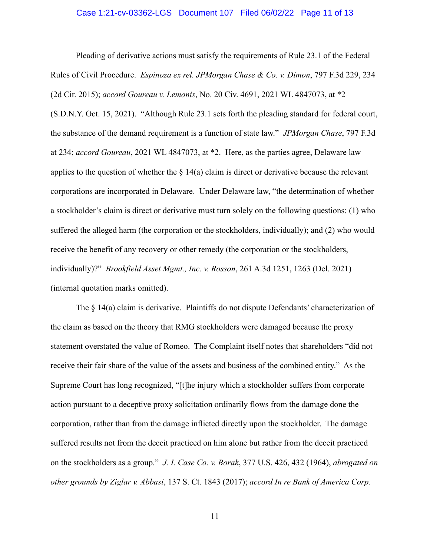#### Case 1:21-cv-03362-LGS Document 107 Filed 06/02/22 Page 11 of 13

Pleading of derivative actions must satisfy the requirements of Rule 23.1 of the Federal Rules of Civil Procedure. *Espinoza ex rel. JPMorgan Chase & Co. v. Dimon*, 797 F.3d 229, 234 (2d Cir. 2015); *accord Goureau v. Lemonis*, No. 20 Civ. 4691, 2021 WL 4847073, at \*2 (S.D.N.Y. Oct. 15, 2021). "Although Rule 23.1 sets forth the pleading standard for federal court, the substance of the demand requirement is a function of state law." *JPMorgan Chase*, 797 F.3d at 234; *accord Goureau*, 2021 WL 4847073, at \*2. Here, as the parties agree, Delaware law applies to the question of whether the  $\S 14(a)$  claim is direct or derivative because the relevant corporations are incorporated in Delaware. Under Delaware law, "the determination of whether a stockholder's claim is direct or derivative must turn solely on the following questions: (1) who suffered the alleged harm (the corporation or the stockholders, individually); and (2) who would receive the benefit of any recovery or other remedy (the corporation or the stockholders, individually)?" *Brookfield Asset Mgmt., Inc. v. Rosson*, 261 A.3d 1251, 1263 (Del. 2021) (internal quotation marks omitted).

The § 14(a) claim is derivative. Plaintiffs do not dispute Defendants' characterization of the claim as based on the theory that RMG stockholders were damaged because the proxy statement overstated the value of Romeo. The Complaint itself notes that shareholders "did not receive their fair share of the value of the assets and business of the combined entity." As the Supreme Court has long recognized, "[t]he injury which a stockholder suffers from corporate action pursuant to a deceptive proxy solicitation ordinarily flows from the damage done the corporation, rather than from the damage inflicted directly upon the stockholder. The damage suffered results not from the deceit practiced on him alone but rather from the deceit practiced on the stockholders as a group." *J. I. Case Co. v. Borak*, 377 U.S. 426, 432 (1964), *abrogated on other grounds by Ziglar v. Abbasi*, 137 S. Ct. 1843 (2017); *accord In re Bank of America Corp.*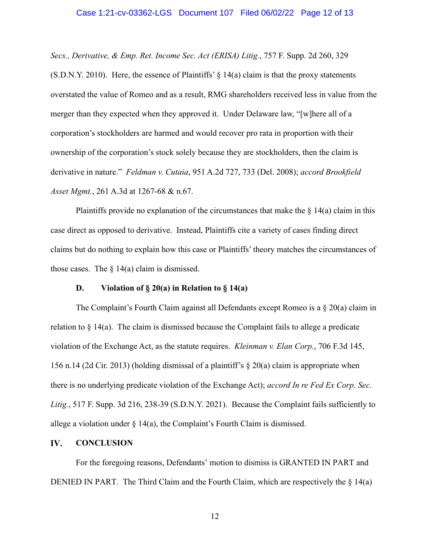#### Case 1:21-cv-03362-LGS Document 107 Filed 06/02/22 Page 12 of 13

*Secs., Derivative, & Emp. Ret. Income Sec. Act (ERISA) Litig.*, 757 F. Supp. 2d 260, 329 (S.D.N.Y. 2010). Here, the essence of Plaintiffs'  $\S$  14(a) claim is that the proxy statements overstated the value of Romeo and as a result, RMG shareholders received less in value from the merger than they expected when they approved it. Under Delaware law, "[w]here all of a corporation's stockholders are harmed and would recover pro rata in proportion with their ownership of the corporation's stock solely because they are stockholders, then the claim is derivative in nature." *Feldman v. Cutaia*, 951 A.2d 727, 733 (Del. 2008); *accord Brookfield Asset Mgmt.*, 261 A.3d at 1267-68 & n.67.

Plaintiffs provide no explanation of the circumstances that make the  $\S$  14(a) claim in this case direct as opposed to derivative. Instead, Plaintiffs cite a variety of cases finding direct claims but do nothing to explain how this case or Plaintiffs' theory matches the circumstances of those cases. The  $\S$  14(a) claim is dismissed.

#### **D. Violation of § 20(a) in Relation to § 14(a)**

The Complaint's Fourth Claim against all Defendants except Romeo is a § 20(a) claim in relation to § 14(a). The claim is dismissed because the Complaint fails to allege a predicate violation of the Exchange Act, as the statute requires. *Kleinman v. Elan Corp.*, 706 F.3d 145, 156 n.14 (2d Cir. 2013) (holding dismissal of a plaintiff's  $\S 20(a)$  claim is appropriate when there is no underlying predicate violation of the Exchange Act); *accord In re Fed Ex Corp. Sec. Litig.*, 517 F. Supp. 3d 216, 238-39 (S.D.N.Y. 2021). Because the Complaint fails sufficiently to allege a violation under  $\S$  14(a), the Complaint's Fourth Claim is dismissed.

#### **CONCLUSION** IV.

For the foregoing reasons, Defendants' motion to dismiss is GRANTED IN PART and DENIED IN PART. The Third Claim and the Fourth Claim, which are respectively the § 14(a)